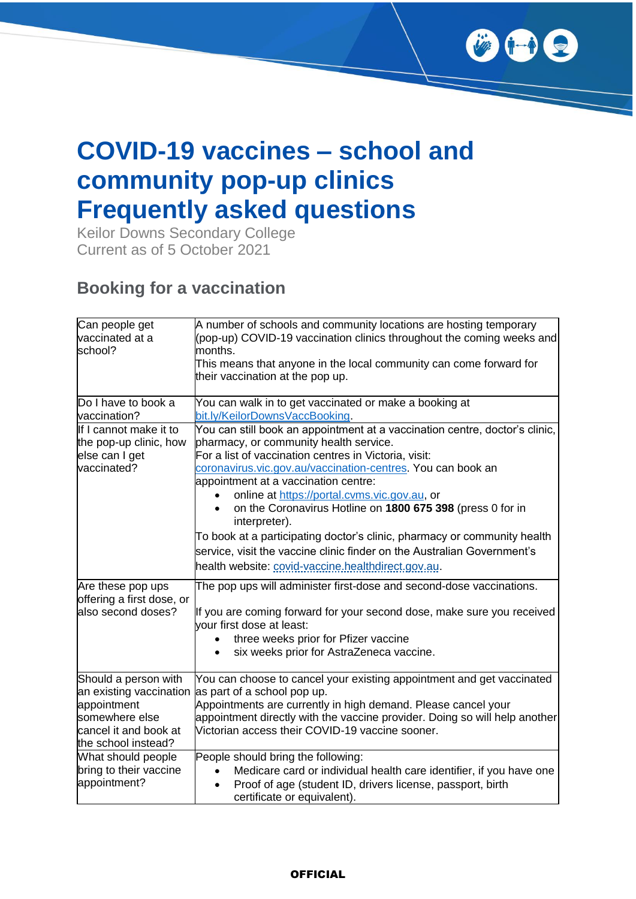

# **COVID-19 vaccines – school and community pop-up clinics Frequently asked questions**

Keilor Downs Secondary College Current as of 5 October 2021

#### **Booking for a vaccination**

| Can people get<br>vaccinated at a<br>school?                                                                                     | A number of schools and community locations are hosting temporary<br>(pop-up) COVID-19 vaccination clinics throughout the coming weeks and<br>months.<br>This means that anyone in the local community can come forward for<br>their vaccination at the pop up.                                                                                                                                                                                                                                                                                                             |
|----------------------------------------------------------------------------------------------------------------------------------|-----------------------------------------------------------------------------------------------------------------------------------------------------------------------------------------------------------------------------------------------------------------------------------------------------------------------------------------------------------------------------------------------------------------------------------------------------------------------------------------------------------------------------------------------------------------------------|
| Do I have to book a<br>vaccination?                                                                                              | You can walk in to get vaccinated or make a booking at<br>bit.ly/KeilorDownsVaccBooking.                                                                                                                                                                                                                                                                                                                                                                                                                                                                                    |
| If I cannot make it to<br>the pop-up clinic, how<br>else can I get<br>vaccinated?                                                | You can still book an appointment at a vaccination centre, doctor's clinic,<br>pharmacy, or community health service.<br>For a list of vaccination centres in Victoria, visit:<br>coronavirus.vic.gov.au/vaccination-centres. You can book an<br>appointment at a vaccination centre:<br>online at https://portal.cvms.vic.gov.au, or<br>on the Coronavirus Hotline on 1800 675 398 (press 0 for in<br>interpreter).<br>To book at a participating doctor's clinic, pharmacy or community health<br>service, visit the vaccine clinic finder on the Australian Government's |
|                                                                                                                                  | health website: covid-vaccine.healthdirect.gov.au.                                                                                                                                                                                                                                                                                                                                                                                                                                                                                                                          |
| Are these pop ups<br>offering a first dose, or<br>also second doses?                                                             | The pop ups will administer first-dose and second-dose vaccinations.<br>If you are coming forward for your second dose, make sure you received<br>vour first dose at least:<br>three weeks prior for Pfizer vaccine<br>$\bullet$<br>six weeks prior for AstraZeneca vaccine.<br>$\bullet$                                                                                                                                                                                                                                                                                   |
| Should a person with<br>an existing vaccination<br>appointment<br>somewhere else<br>cancel it and book at<br>the school instead? | You can choose to cancel your existing appointment and get vaccinated<br>as part of a school pop up.<br>Appointments are currently in high demand. Please cancel your<br>appointment directly with the vaccine provider. Doing so will help another<br>Victorian access their COVID-19 vaccine sooner.                                                                                                                                                                                                                                                                      |
| What should people<br>bring to their vaccine<br>appointment?                                                                     | People should bring the following:<br>Medicare card or individual health care identifier, if you have one<br>$\bullet$<br>Proof of age (student ID, drivers license, passport, birth<br>$\bullet$<br>certificate or equivalent).                                                                                                                                                                                                                                                                                                                                            |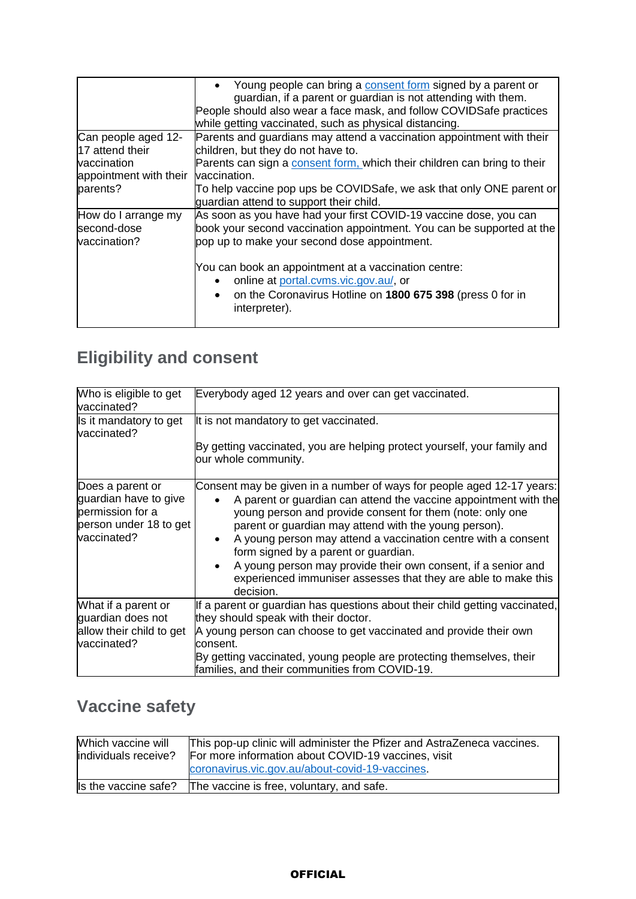|                                                    | Young people can bring a consent form signed by a parent or<br>guardian, if a parent or guardian is not attending with them.<br>People should also wear a face mask, and follow COVIDSafe practices<br>while getting vaccinated, such as physical distancing. |
|----------------------------------------------------|---------------------------------------------------------------------------------------------------------------------------------------------------------------------------------------------------------------------------------------------------------------|
| Can people aged 12-<br>17 attend their             | Parents and guardians may attend a vaccination appointment with their<br>children, but they do not have to.                                                                                                                                                   |
| vaccination<br>appointment with their              | Parents can sign a consent form, which their children can bring to their<br>vaccination.                                                                                                                                                                      |
| parents?                                           | To help vaccine pop ups be COVIDSafe, we ask that only ONE parent or<br>guardian attend to support their child.                                                                                                                                               |
| How do I arrange my<br>second-dose<br>vaccination? | As soon as you have had your first COVID-19 vaccine dose, you can<br>book your second vaccination appointment. You can be supported at the<br>pop up to make your second dose appointment.                                                                    |
|                                                    | You can book an appointment at a vaccination centre:<br>online at portal.cvms.vic.gov.au/, or<br>on the Coronavirus Hotline on 1800 675 398 (press 0 for in<br>interpreter).                                                                                  |

## **Eligibility and consent**

| Who is eligible to get<br>vaccinated?                                                                  | Everybody aged 12 years and over can get vaccinated.                                                                                                                                                                                                                                                                                                                                                                                                                                                                                  |
|--------------------------------------------------------------------------------------------------------|---------------------------------------------------------------------------------------------------------------------------------------------------------------------------------------------------------------------------------------------------------------------------------------------------------------------------------------------------------------------------------------------------------------------------------------------------------------------------------------------------------------------------------------|
| Is it mandatory to get<br>vaccinated?                                                                  | It is not mandatory to get vaccinated.<br>By getting vaccinated, you are helping protect yourself, your family and<br>our whole community.                                                                                                                                                                                                                                                                                                                                                                                            |
| Does a parent or<br>guardian have to give<br>permission for a<br>person under 18 to get<br>vaccinated? | Consent may be given in a number of ways for people aged 12-17 years:<br>A parent or guardian can attend the vaccine appointment with the<br>young person and provide consent for them (note: only one<br>parent or guardian may attend with the young person).<br>A young person may attend a vaccination centre with a consent<br>form signed by a parent or guardian.<br>A young person may provide their own consent, if a senior and<br>$\bullet$<br>experienced immuniser assesses that they are able to make this<br>decision. |
| What if a parent or<br>guardian does not<br>allow their child to get<br>vaccinated?                    | If a parent or guardian has questions about their child getting vaccinated,<br>they should speak with their doctor.<br>A young person can choose to get vaccinated and provide their own<br>lconsent.<br>By getting vaccinated, young people are protecting themselves, their<br>families, and their communities from COVID-19.                                                                                                                                                                                                       |

### **Vaccine safety**

| Which vaccine will<br>individuals receive? | This pop-up clinic will administer the Pfizer and AstraZeneca vaccines.<br>For more information about COVID-19 vaccines, visit<br>coronavirus.vic.gov.au/about-covid-19-vaccines. |
|--------------------------------------------|-----------------------------------------------------------------------------------------------------------------------------------------------------------------------------------|
| Is the vaccine safe?                       | The vaccine is free, voluntary, and safe.                                                                                                                                         |